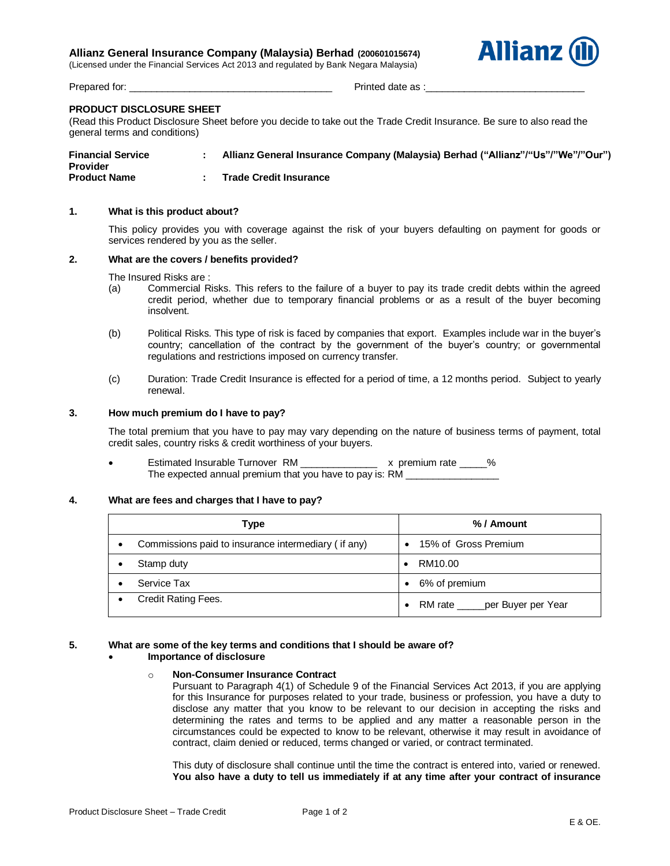# **Allianz General Insurance Company (Malaysia) Berhad (200601015674)**

(Licensed under the Financial Services Act 2013 and regulated by Bank Negara Malaysia)



Prepared for:  $\blacksquare$ 

# **PRODUCT DISCLOSURE SHEET**

(Read this Product Disclosure Sheet before you decide to take out the Trade Credit Insurance. Be sure to also read the general terms and conditions)

| <b>Financial Service</b><br><b>Provider</b> | Allianz General Insurance Company (Malaysia) Berhad ("Allianz"/"Us"/"We"/"Our") |
|---------------------------------------------|---------------------------------------------------------------------------------|
| <b>Product Name</b>                         | <b>Trade Credit Insurance</b>                                                   |

# **1. What is this product about?**

This policy provides you with coverage against the risk of your buyers defaulting on payment for goods or services rendered by you as the seller.

### **2. What are the covers / benefits provided?**

The Insured Risks are :

- (a) Commercial Risks. This refers to the failure of a buyer to pay its trade credit debts within the agreed credit period, whether due to temporary financial problems or as a result of the buyer becoming insolvent.
- (b) Political Risks. This type of risk is faced by companies that export. Examples include war in the buyer's country; cancellation of the contract by the government of the buyer's country; or governmental regulations and restrictions imposed on currency transfer.
- (c) Duration: Trade Credit Insurance is effected for a period of time, a 12 months period. Subject to yearly renewal.

#### **3. How much premium do I have to pay?**

The total premium that you have to pay may vary depending on the nature of business terms of payment, total credit sales, country risks & credit worthiness of your buyers.

Estimated Insurable Turnover RM \_\_\_\_\_\_\_\_\_\_\_\_\_\_\_ x premium rate \_\_\_\_\_% The expected annual premium that you have to pay is: RM

### **4. What are fees and charges that I have to pay?**

| Type                                                | %/ Amount                                     |
|-----------------------------------------------------|-----------------------------------------------|
| Commissions paid to insurance intermediary (if any) | 15% of Gross Premium<br>$\bullet$             |
| Stamp duty                                          | RM10.00                                       |
| Service Tax                                         | • 6% of premium                               |
| Credit Rating Fees.                                 | RM rate _____ per Buyer per Year<br>$\bullet$ |

### **5. What are some of the key terms and conditions that I should be aware of?**

# **Importance of disclosure**

#### o **Non-Consumer Insurance Contract**

Pursuant to Paragraph 4(1) of Schedule 9 of the Financial Services Act 2013, if you are applying for this Insurance for purposes related to your trade, business or profession, you have a duty to disclose any matter that you know to be relevant to our decision in accepting the risks and determining the rates and terms to be applied and any matter a reasonable person in the circumstances could be expected to know to be relevant, otherwise it may result in avoidance of contract, claim denied or reduced, terms changed or varied, or contract terminated.

This duty of disclosure shall continue until the time the contract is entered into, varied or renewed. **You also have a duty to tell us immediately if at any time after your contract of insurance**